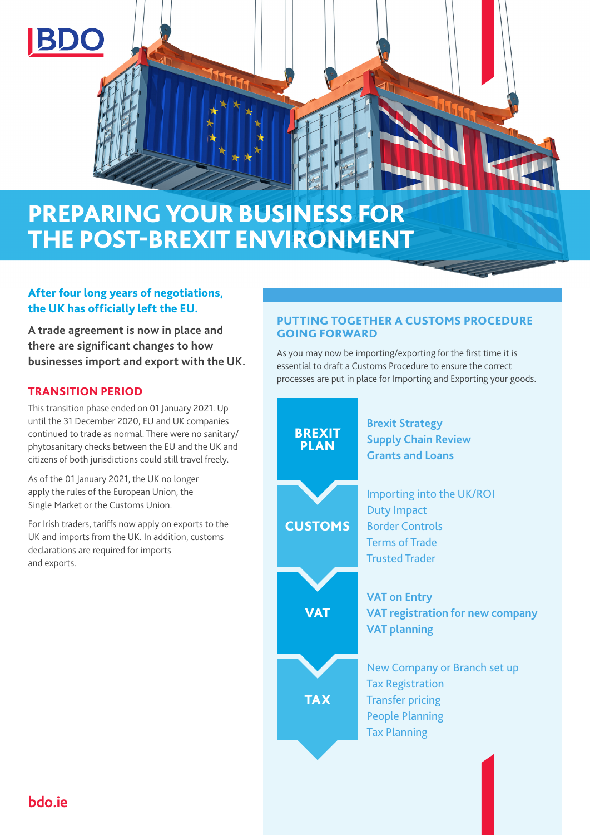

# After four long years of negotiations, the UK has officially left the EU.

**A trade agreement is now in place and there are significant changes to how businesses import and export with the UK.**

## TRANSITION PERIOD

This transition phase ended on 01 January 2021. Up until the 31 December 2020, EU and UK companies continued to trade as normal. There were no sanitary/ phytosanitary checks between the EU and the UK and citizens of both jurisdictions could still travel freely.

As of the 01 January 2021, the UK no longer apply the rules of the European Union, the Single Market or the Customs Union.

For Irish traders, tariffs now apply on exports to the UK and imports from the UK. In addition, customs declarations are required for imports and exports.

## PUTTING TOGETHER A CUSTOMS PROCEDURE GOING FORWARD

As you may now be importing/exporting for the first time it is essential to draft a Customs Procedure to ensure the correct processes are put in place for Importing and Exporting your goods.